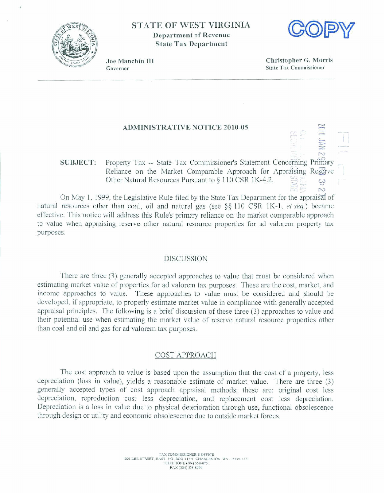

**STATE OF WEST VIRGINIA Department of Revenue State Tax Department** 



Joe Manchin III Governor

**Christopher** *G,* **Morris State Tax Commissioner** 

 $\overline{N}$ 

# **ADMTNISTRATIVE NOTICE 20 10-05**

# **SUBJECT: Property Tax -- State Tax Commissioner's Statement Concerning Primary** Reliance on the Market Comparable Approach for Appraising Reserve<br>Other Natural Resources Pursuant to  $\S 110 \text{ CSR 1K-4.2.}$

**On May 1, 1999, the Legislative Rule filed by the State Tax Department for the appraisal of** natural resources other than coal, oil and natural gas (see  $\S$ \$ 110 CSR 1K-1, *et seq.*) became **effective. This** notice will **address** this **Rule's primary reliance** on **the market comparable approach**  to **value** when appraising **reserve** other natural resource **properties** for ad valorem **property tax purposes.** 

## **DISCUSSION**

**There are three (3) generally accepted approaches to value** that must **be considered when**  estimating market vdue **of properties** for **ad** valorem **tax purposes. These** are **the** cost, **market,** and income **approaches to** value. These **approaches** to **value** must **be** considered and should be **developed,** if **appropriate, to properly estimate market value** in **compliance with generally accepted appraisal principles.** The following is a brief discussion of these three (3) approaches to value and their potential **use when** estimating **the market** value **of reserve** natural **resource properties other**  than **coal** and **oil and** gas for **ad** valorem tax purposes.

#### **COST APPROACH**

**The cast approach to** value **is** based upon the assumption **that** the **cost** of **a property, less depreciation** (loss in value), **yields** a **reasonable estimate** of **market value.** There are three **(3) generally accepted types of cost approach appraisal methods;** these **are: original cost less depreciation,** reproduction cost **less** depreciation, **and** replacement cost **less** depreciation. **Depreciation** is **a** Ioss in **value due** to **physical** deterioration **through use, functional obsolescence**  through design or utility and economic **obsoIescence due to** outside **market** forces.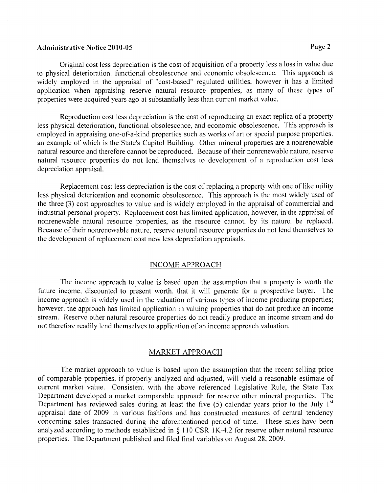# Administrative Notice 2010-05 Page 2

Original cost less depreciation is the cost of acquisition of a property less a loss in value due to physical deterioration. functional obsolescence and economic obsolescence. This approach is widely employed in the appraisal of "cost-based" regulated utilities. however it has a limited application when appraising reserve natural resource properties, as many of these types of properties were acquired years ago at substantially less than current market value.

Reproduction cost less depreciation is the cost of reproducing an esact replica of a property less physical deterioration, functional obsolescence, and economic obsolescence. This approach is employed in appraising one-of-a-kind properties such as works of art or special purpose properties. an example of which is the State's Capitol Building. Other mineral properties are a nonrenewable natural resource and therefore cannot be reproduced. Because of their nonrenewable nature, reserve natural resource properties do not lend themselves to development of a reproduction cost less depreciation appraisal.

Replacement cost less depreciation is the cost of replacing a property with one of like utility less physical deterioration and economic obsolescence. This approach is the most widely used of the three  $(3)$  cost approaches to value and is widely employed in the appraisal of commercial and industrial personal propcrty. Replacement cost has limited application, howcver. in the appraisal of nonrenewable natural resource properties, as the resource cannot. by its nature. be replaced. Hecause of their nonrenewable nature, reserve natural resource properties do not lend themselves to the development of rcplaccment cost new less depreciation appraisals.

# INCOME APPROACH

The income approach to value is based upon the assumption that a property is worth the future income, discounted to present worth, that it will generate for a prospective buyer. The income approach is widely used in the valuation of various types of income producing properties; however, the approach has limited application in valuing properties that do not produce an income stream. Reserve other natural resource properties do not readily producc an income stream and do not therefore readily lend themselves to application of an income approach valuation.

## MARKET APPROACH

The market approach to valuc is based upon the assumption that the recent sclling price of comparable properties, if properly analyzed and adjusted, will vield a reasonable estimate of current market value. Consistent with the above referenced Legislative Rule, the State Tax Department developed a market comparable approach for reserve other mineral properties. The Department has reviewed sales during at least the five  $(5)$  calendar years prior to the July 1<sup>st</sup> appraisal date of 2009 in various fashions and has constructcd measures of central tendency concerning sales transacted during the aforementioned period of time. These sales have been analyzed according to methods established in § 110 CSR 1K-4.2 for reserve other natural resource properties. Ihe Department published and filed final variables on August 28. 2009.